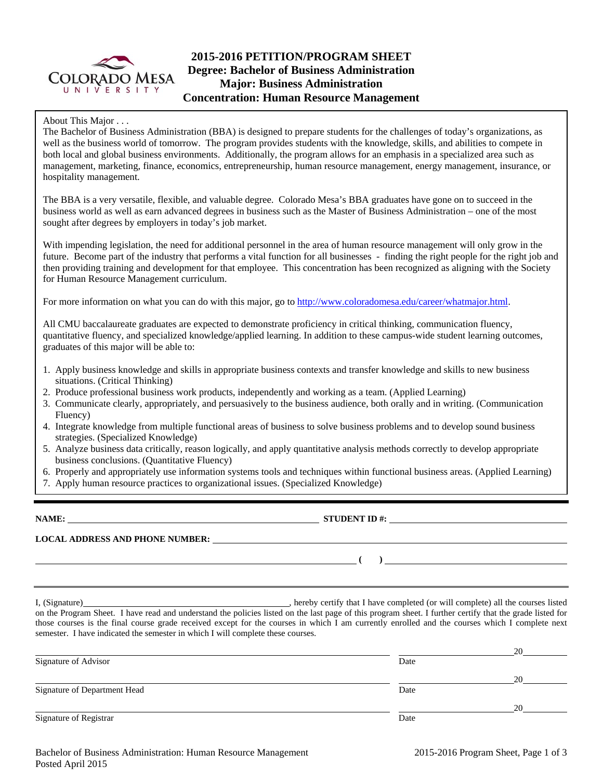

# **2015-2016 PETITION/PROGRAM SHEET Degree: Bachelor of Business Administration Major: Business Administration Concentration: Human Resource Management**

About This Major . . .

The Bachelor of Business Administration (BBA) is designed to prepare students for the challenges of today's organizations, as well as the business world of tomorrow. The program provides students with the knowledge, skills, and abilities to compete in both local and global business environments. Additionally, the program allows for an emphasis in a specialized area such as management, marketing, finance, economics, entrepreneurship, human resource management, energy management, insurance, or hospitality management.

The BBA is a very versatile, flexible, and valuable degree. Colorado Mesa's BBA graduates have gone on to succeed in the business world as well as earn advanced degrees in business such as the Master of Business Administration – one of the most sought after degrees by employers in today's job market.

With impending legislation, the need for additional personnel in the area of human resource management will only grow in the future. Become part of the industry that performs a vital function for all businesses - finding the right people for the right job and then providing training and development for that employee. This concentration has been recognized as aligning with the Society for Human Resource Management curriculum.

For more information on what you can do with this major, go to http://www.coloradomesa.edu/career/whatmajor.html.

All CMU baccalaureate graduates are expected to demonstrate proficiency in critical thinking, communication fluency, quantitative fluency, and specialized knowledge/applied learning. In addition to these campus-wide student learning outcomes, graduates of this major will be able to:

- 1. Apply business knowledge and skills in appropriate business contexts and transfer knowledge and skills to new business situations. (Critical Thinking)
- 2. Produce professional business work products, independently and working as a team. (Applied Learning)
- 3. Communicate clearly, appropriately, and persuasively to the business audience, both orally and in writing. (Communication Fluency)
- 4. Integrate knowledge from multiple functional areas of business to solve business problems and to develop sound business strategies. (Specialized Knowledge)
- 5. Analyze business data critically, reason logically, and apply quantitative analysis methods correctly to develop appropriate business conclusions. (Quantitative Fluency)
- 6. Properly and appropriately use information systems tools and techniques within functional business areas. (Applied Learning)
- 7. Apply human resource practices to organizational issues. (Specialized Knowledge)

**NAME: STUDENT ID #: STUDENT ID #: STUDENT ID #: STUDENT ID #: STUDENT ID #: STUDENT ID #: STUDENT ID #: STUDENT ID #: STUDENT ID #: STUDENT ID #: STUDENT ID #: STUDENT ID #: STUDENT ID #: STUDE LOCAL ADDRESS AND PHONE NUMBER:**

I, (Signature) , hereby certify that I have completed (or will complete) all the courses listed on the Program Sheet. I have read and understand the policies listed on the last page of this program sheet. I further certify that the grade listed for those courses is the final course grade received except for the courses in which I am currently enrolled and the courses which I complete next semester. I have indicated the semester in which I will complete these courses.

|                              |      | 20 |
|------------------------------|------|----|
| Signature of Advisor         | Date |    |
|                              |      | 20 |
| Signature of Department Head | Date |    |
|                              |      | 20 |
| Signature of Registrar       | Date |    |

 **(** ) <u> **(** ) **d**</u>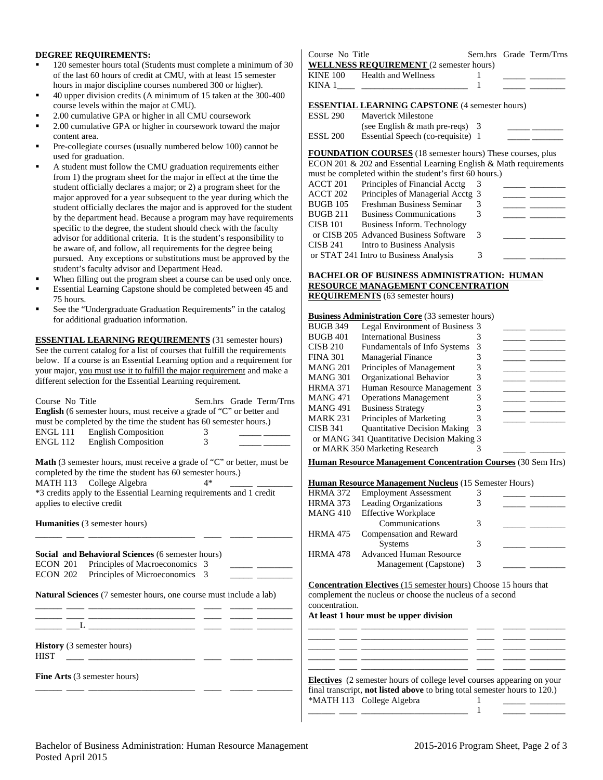### **DEGREE REQUIREMENTS:**

- 120 semester hours total (Students must complete a minimum of 30 of the last 60 hours of credit at CMU, with at least 15 semester hours in major discipline courses numbered 300 or higher).
- 40 upper division credits (A minimum of 15 taken at the 300-400 course levels within the major at CMU).
- 2.00 cumulative GPA or higher in all CMU coursework
- 2.00 cumulative GPA or higher in coursework toward the major content area.
- Pre-collegiate courses (usually numbered below 100) cannot be used for graduation.
- A student must follow the CMU graduation requirements either from 1) the program sheet for the major in effect at the time the student officially declares a major; or 2) a program sheet for the major approved for a year subsequent to the year during which the student officially declares the major and is approved for the student by the department head. Because a program may have requirements specific to the degree, the student should check with the faculty advisor for additional criteria. It is the student's responsibility to be aware of, and follow, all requirements for the degree being pursued. Any exceptions or substitutions must be approved by the student's faculty advisor and Department Head.
- When filling out the program sheet a course can be used only once.
- Essential Learning Capstone should be completed between 45 and 75 hours.
- See the "Undergraduate Graduation Requirements" in the catalog for additional graduation information.

**ESSENTIAL LEARNING REQUIREMENTS** (31 semester hours) See the current catalog for a list of courses that fulfill the requirements below. If a course is an Essential Learning option and a requirement for your major, you must use it to fulfill the major requirement and make a different selection for the Essential Learning requirement.

| Course No Title<br>Sem.hrs Grade Term/Trns<br>English (6 semester hours, must receive a grade of "C" or better and<br>must be completed by the time the student has 60 semester hours.)<br><b>ENGL 111</b><br><b>English Composition</b><br><b>English Composition</b><br><b>ENGL 112</b><br>3 | MANG 471<br><b>Operations Management</b><br>3<br><b>MANG 491</b><br><b>Business Strategy</b><br>3<br>المستندر المست<br>Principles of Marketing<br><b>MARK 231</b><br>3<br><b>Quantitative Decision Making</b><br><b>CISB 341</b><br>or MANG 341 Quantitative Decision Making 3<br>or MARK 350 Marketing Research |
|------------------------------------------------------------------------------------------------------------------------------------------------------------------------------------------------------------------------------------------------------------------------------------------------|------------------------------------------------------------------------------------------------------------------------------------------------------------------------------------------------------------------------------------------------------------------------------------------------------------------|
| Math (3 semester hours, must receive a grade of "C" or better, must be                                                                                                                                                                                                                         | <b>Human Resource Management Concentration Courses</b> (30 Sem Hrs)                                                                                                                                                                                                                                              |
| completed by the time the student has 60 semester hours.)                                                                                                                                                                                                                                      |                                                                                                                                                                                                                                                                                                                  |
| MATH 113 College Algebra<br>$4*$                                                                                                                                                                                                                                                               | <b>Human Resource Management Nucleus</b> (15 Semester Hours)                                                                                                                                                                                                                                                     |
| *3 credits apply to the Essential Learning requirements and 1 credit                                                                                                                                                                                                                           | <b>Employment Assessment</b><br><b>HRMA 372</b><br>3                                                                                                                                                                                                                                                             |
| applies to elective credit                                                                                                                                                                                                                                                                     | Leading Organizations<br>3<br><b>HRMA 373</b>                                                                                                                                                                                                                                                                    |
|                                                                                                                                                                                                                                                                                                | <b>MANG 410</b><br><b>Effective Workplace</b>                                                                                                                                                                                                                                                                    |
| <b>Humanities</b> (3 semester hours)                                                                                                                                                                                                                                                           | Communications<br>3                                                                                                                                                                                                                                                                                              |
|                                                                                                                                                                                                                                                                                                | <b>HRMA 475</b><br>Compensation and Reward                                                                                                                                                                                                                                                                       |
|                                                                                                                                                                                                                                                                                                | 3<br><b>Systems</b>                                                                                                                                                                                                                                                                                              |
| <b>Social and Behavioral Sciences (6 semester hours)</b>                                                                                                                                                                                                                                       | <b>Advanced Human Resource</b><br><b>HRMA 478</b>                                                                                                                                                                                                                                                                |
| Principles of Macroeconomics 3<br>ECON 201                                                                                                                                                                                                                                                     | Management (Capstone)<br>3                                                                                                                                                                                                                                                                                       |
| <b>ECON 202</b><br>Principles of Microeconomics 3                                                                                                                                                                                                                                              |                                                                                                                                                                                                                                                                                                                  |
| Natural Sciences (7 semester hours, one course must include a lab)                                                                                                                                                                                                                             | <b>Concentration Electives</b> (15 semester hours) Choose 15 hours that<br>complement the nucleus or choose the nucleus of a second<br>concentration.<br>At least 1 hour must be upper division                                                                                                                  |
| <b>History</b> (3 semester hours)<br><b>HIST</b>                                                                                                                                                                                                                                               |                                                                                                                                                                                                                                                                                                                  |
| <b>Fine Arts</b> (3 semester hours)                                                                                                                                                                                                                                                            | Electives (2 semester hours of college level courses appearing on your<br>final transcript, not listed above to bring total semester hours to 120.)                                                                                                                                                              |

| Course No Title                                       |                                                |  |  | Sem.hrs Grade Term/Trns |
|-------------------------------------------------------|------------------------------------------------|--|--|-------------------------|
|                                                       | <b>WELLNESS REQUIREMENT</b> (2 semester hours) |  |  |                         |
|                                                       | KINE 100 Health and Wellness                   |  |  |                         |
|                                                       |                                                |  |  |                         |
|                                                       |                                                |  |  |                         |
| <b>ESSENTIAL LEARNING CAPSTONE (4 semester hours)</b> |                                                |  |  |                         |

| ESSL 290 | <b>Maverick Milestone</b>          |  |
|----------|------------------------------------|--|
|          | (see English $\&$ math pre-reqs) 3 |  |
| ESSL 200 | Essential Speech (co-requisite) 1  |  |

**FOUNDATION COURSES** (18 semester hours) These courses, plus ECON 201 & 202 and Essential Learning English & Math requirements

| must be completed within the student's first 60 hours.) |                                        |   |  |  |  |
|---------------------------------------------------------|----------------------------------------|---|--|--|--|
| ACCT 201                                                | Principles of Financial Acctg          |   |  |  |  |
| ACCT 202                                                | Principles of Managerial Acctg 3       |   |  |  |  |
| BUGB 105                                                | Freshman Business Seminar              |   |  |  |  |
| BUGB 211                                                | <b>Business Communications</b>         |   |  |  |  |
| CISB 101                                                | Business Inform. Technology            |   |  |  |  |
|                                                         | or CISB 205 Advanced Business Software | 3 |  |  |  |
| CISB 241                                                | Intro to Business Analysis             |   |  |  |  |
|                                                         | or STAT 241 Intro to Business Analysis | 3 |  |  |  |
|                                                         |                                        |   |  |  |  |

### **BACHELOR OF BUSINESS ADMINISTRATION: HUMAN RESOURCE MANAGEMENT CONCENTRATION REQUIREMENTS** (63 semester hours)

| <b>Business Administration Core</b> (33 semester hours) |                                     |   |  |  |
|---------------------------------------------------------|-------------------------------------|---|--|--|
| <b>BUGB 349</b>                                         | Legal Environment of Business 3     |   |  |  |
| <b>BUGB 401</b>                                         | <b>International Business</b>       |   |  |  |
| <b>CISB 210</b>                                         | Fundamentals of Info Systems        |   |  |  |
| <b>FINA 301</b>                                         | <b>Managerial Finance</b>           |   |  |  |
| <b>MANG 201</b>                                         | Principles of Management            |   |  |  |
| <b>MANG 301</b>                                         | Organizational Behavior             |   |  |  |
| <b>HRMA 371</b>                                         | Human Resource Management 3         |   |  |  |
| MANG 471                                                | <b>Operations Management</b>        |   |  |  |
| <b>MANG 491</b>                                         | <b>Business Strategy</b>            |   |  |  |
| <b>MARK 231</b>                                         | Principles of Marketing             |   |  |  |
| <b>CISB 341</b>                                         | <b>Quantitative Decision Making</b> | 3 |  |  |
| or MANG 341 Quantitative Decision Making 3              |                                     |   |  |  |
|                                                         | or MARK 350 Marketing Research      |   |  |  |
|                                                         |                                     |   |  |  |

| <b>Human Resource Management Nucleus (15 Semester Hours)</b> |                                |   |  |  |
|--------------------------------------------------------------|--------------------------------|---|--|--|
| HRMA 372                                                     | <b>Employment Assessment</b>   | 3 |  |  |
|                                                              | HRMA 373 Leading Organizations |   |  |  |
|                                                              | MANG 410 Effective Workplace   |   |  |  |
|                                                              | Communications                 | 3 |  |  |
| HRMA 475                                                     | Compensation and Reward        |   |  |  |
|                                                              | <b>Systems</b>                 | 3 |  |  |
| <b>HRMA 478</b>                                              | <b>Advanced Human Resource</b> |   |  |  |
|                                                              | Management (Capstone)          | 3 |  |  |

#### ast 1 hour must be upper division

| <b>Electives</b> (2 semester hours of college level courses appearing on your |  |  |
|-------------------------------------------------------------------------------|--|--|
| final transcript, not listed above to bring total semester hours to 120.)     |  |  |
| *MATH 113 College Algebra                                                     |  |  |
|                                                                               |  |  |